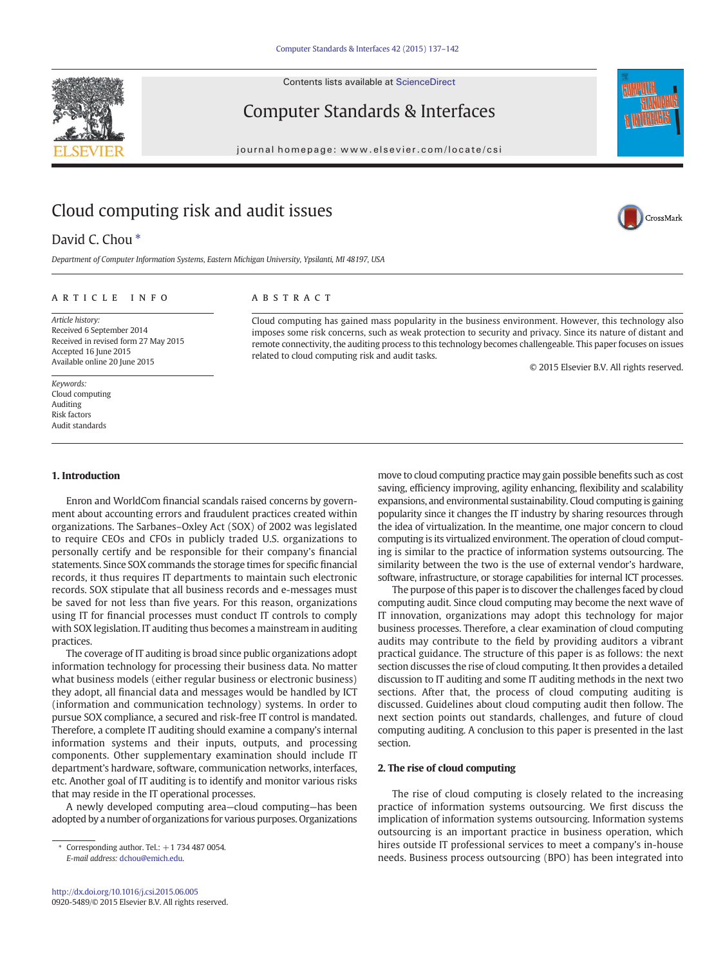Contents lists available at ScienceDirect



Computer Standards & Interfaces



## Cloud computing risk and audit issues

## David C. Chou<sup>\*</sup>

Department of Computer Information Systems, Eastern Michigan University, Ypsilanti, MI 48197, USA

### article info abstract

Article history: Received 6 September 2014 Received in revised form 27 May 2015 Accepted 16 June 2015 Available online 20 June 2015

Keywords: Cloud computing Auditing Risk factors Audit standards

### 1. Introduction

Enron and WorldCom financial scandals raised concerns by government about accounting errors and fraudulent practices created within organizations. The Sarbanes–Oxley Act (SOX) of 2002 was legislated to require CEOs and CFOs in publicly traded U.S. organizations to personally certify and be responsible for their company's financial statements. Since SOX commands the storage times for specific financial records, it thus requires IT departments to maintain such electronic records. SOX stipulate that all business records and e-messages must be saved for not less than five years. For this reason, organizations using IT for financial processes must conduct IT controls to comply with SOX legislation. IT auditing thus becomes a mainstream in auditing practices.

The coverage of IT auditing is broad since public organizations adopt information technology for processing their business data. No matter what business models (either regular business or electronic business) they adopt, all financial data and messages would be handled by ICT (information and communication technology) systems. In order to pursue SOX compliance, a secured and risk-free IT control is mandated. Therefore, a complete IT auditing should examine a company's internal information systems and their inputs, outputs, and processing components. Other supplementary examination should include IT department's hardware, software, communication networks, interfaces, etc. Another goal of IT auditing is to identify and monitor various risks that may reside in the IT operational processes.

A newly developed computing area—cloud computing—has been adopted by a number of organizations for various purposes. Organizations

Cloud computing has gained mass popularity in the business environment. However, this technology also imposes some risk concerns, such as weak protection to security and privacy. Since its nature of distant and remote connectivity, the auditing process to this technology becomes challengeable. This paper focuses on issues related to cloud computing risk and audit tasks.

© 2015 Elsevier B.V. All rights reserved.

CrossMark

move to cloud computing practice may gain possible benefits such as cost saving, efficiency improving, agility enhancing, flexibility and scalability expansions, and environmental sustainability. Cloud computing is gaining popularity since it changes the IT industry by sharing resources through the idea of virtualization. In the meantime, one major concern to cloud computing is its virtualized environment. The operation of cloud computing is similar to the practice of information systems outsourcing. The similarity between the two is the use of external vendor's hardware, software, infrastructure, or storage capabilities for internal ICT processes.

The purpose of this paper is to discover the challenges faced by cloud computing audit. Since cloud computing may become the next wave of IT innovation, organizations may adopt this technology for major business processes. Therefore, a clear examination of cloud computing audits may contribute to the field by providing auditors a vibrant practical guidance. The structure of this paper is as follows: the next section discusses the rise of cloud computing. It then provides a detailed discussion to IT auditing and some IT auditing methods in the next two sections. After that, the process of cloud computing auditing is discussed. Guidelines about cloud computing audit then follow. The next section points out standards, challenges, and future of cloud computing auditing. A conclusion to this paper is presented in the last section.

### 2. The rise of cloud computing

The rise of cloud computing is closely related to the increasing practice of information systems outsourcing. We first discuss the implication of information systems outsourcing. Information systems outsourcing is an important practice in business operation, which hires outside IT professional services to meet a company's in-house needs. Business process outsourcing (BPO) has been integrated into

Corresponding author. Tel.:  $+1$  734 487 0054. E-mail address: [dchou@emich.edu.](mailto:dchou@emich.edu)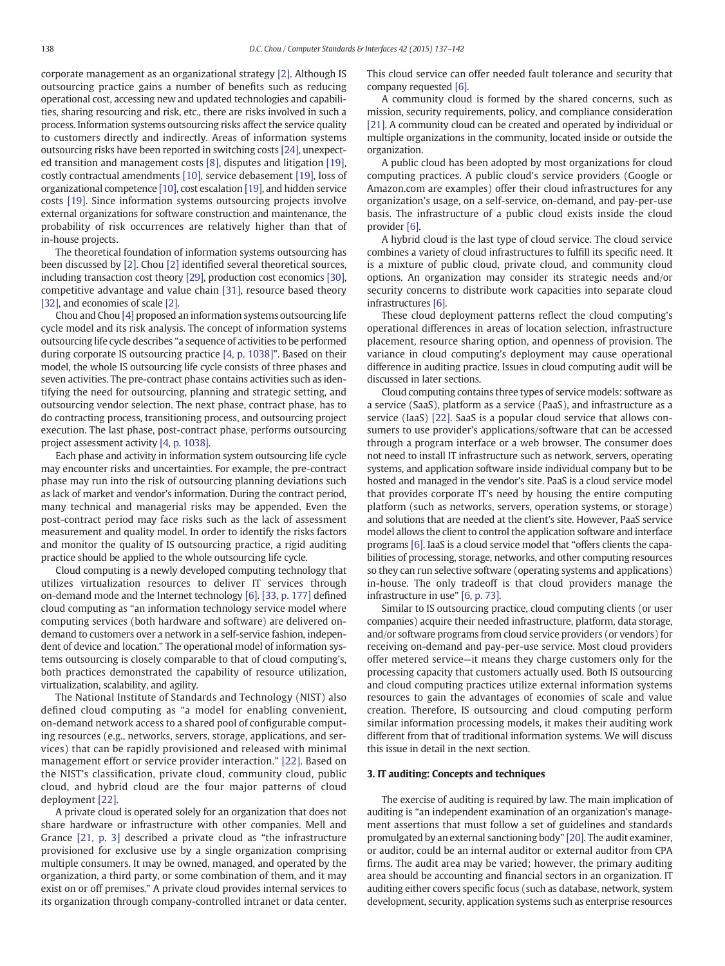corporate management as an organizational strategy [\[2\]](#page--1-0). Although IS outsourcing practice gains a number of benefits such as reducing operational cost, accessing new and updated technologies and capabilities, sharing resourcing and risk, etc., there are risks involved in such a process. Information systems outsourcing risks affect the service quality to customers directly and indirectly. Areas of information systems outsourcing risks have been reported in switching costs [\[24\]](#page--1-0), unexpected transition and management costs [\[8\],](#page--1-0) disputes and litigation [\[19\],](#page--1-0) costly contractual amendments [\[10\],](#page--1-0) service debasement [\[19\],](#page--1-0) loss of organizational competence [\[10\],](#page--1-0) cost escalation [\[19\]](#page--1-0), and hidden service costs [\[19\]](#page--1-0). Since information systems outsourcing projects involve external organizations for software construction and maintenance, the probability of risk occurrences are relatively higher than that of in-house projects.

The theoretical foundation of information systems outsourcing has been discussed by [\[2\].](#page--1-0) Chou [\[2\]](#page--1-0) identified several theoretical sources, including transaction cost theory [\[29\]](#page--1-0), production cost economics [\[30\],](#page--1-0) competitive advantage and value chain [\[31\],](#page--1-0) resource based theory [\[32\]](#page--1-0), and economies of scale [\[2\].](#page--1-0)

Chou and Chou [\[4\]](#page--1-0) proposed an information systems outsourcing life cycle model and its risk analysis. The concept of information systems outsourcing life cycle describes "a sequence of activities to be performed during corporate IS outsourcing practice [\[4, p. 1038\]](#page--1-0)". Based on their model, the whole IS outsourcing life cycle consists of three phases and seven activities. The pre-contract phase contains activities such as identifying the need for outsourcing, planning and strategic setting, and outsourcing vendor selection. The next phase, contract phase, has to do contracting process, transitioning process, and outsourcing project execution. The last phase, post-contract phase, performs outsourcing project assessment activity [\[4, p. 1038\]](#page--1-0).

Each phase and activity in information system outsourcing life cycle may encounter risks and uncertainties. For example, the pre-contract phase may run into the risk of outsourcing planning deviations such as lack of market and vendor's information. During the contract period, many technical and managerial risks may be appended. Even the post-contract period may face risks such as the lack of assessment measurement and quality model. In order to identify the risks factors and monitor the quality of IS outsourcing practice, a rigid auditing practice should be applied to the whole outsourcing life cycle.

Cloud computing is a newly developed computing technology that utilizes virtualization resources to deliver IT services through on-demand mode and the Internet technology [\[6\]](#page--1-0). [\[33, p. 177\]](#page--1-0) defined cloud computing as "an information technology service model where computing services (both hardware and software) are delivered ondemand to customers over a network in a self-service fashion, independent of device and location." The operational model of information systems outsourcing is closely comparable to that of cloud computing's, both practices demonstrated the capability of resource utilization, virtualization, scalability, and agility.

The National Institute of Standards and Technology (NIST) also defined cloud computing as "a model for enabling convenient, on-demand network access to a shared pool of configurable computing resources (e.g., networks, servers, storage, applications, and services) that can be rapidly provisioned and released with minimal management effort or service provider interaction." [\[22\].](#page--1-0) Based on the NIST's classification, private cloud, community cloud, public cloud, and hybrid cloud are the four major patterns of cloud deployment [\[22\].](#page--1-0)

A private cloud is operated solely for an organization that does not share hardware or infrastructure with other companies. Mell and Grance [\[21, p. 3\]](#page--1-0) described a private cloud as "the infrastructure provisioned for exclusive use by a single organization comprising multiple consumers. It may be owned, managed, and operated by the organization, a third party, or some combination of them, and it may exist on or off premises." A private cloud provides internal services to its organization through company-controlled intranet or data center. This cloud service can offer needed fault tolerance and security that company requested [\[6\].](#page--1-0)

A community cloud is formed by the shared concerns, such as mission, security requirements, policy, and compliance consideration [\[21\]](#page--1-0). A community cloud can be created and operated by individual or multiple organizations in the community, located inside or outside the organization.

A public cloud has been adopted by most organizations for cloud computing practices. A public cloud's service providers (Google or Amazon.com are examples) offer their cloud infrastructures for any organization's usage, on a self-service, on-demand, and pay-per-use basis. The infrastructure of a public cloud exists inside the cloud provider [\[6\]](#page--1-0).

A hybrid cloud is the last type of cloud service. The cloud service combines a variety of cloud infrastructures to fulfill its specific need. It is a mixture of public cloud, private cloud, and community cloud options. An organization may consider its strategic needs and/or security concerns to distribute work capacities into separate cloud infrastructures [\[6\].](#page--1-0)

These cloud deployment patterns reflect the cloud computing's operational differences in areas of location selection, infrastructure placement, resource sharing option, and openness of provision. The variance in cloud computing's deployment may cause operational difference in auditing practice. Issues in cloud computing audit will be discussed in later sections.

Cloud computing contains three types of service models: software as a service (SaaS), platform as a service (PaaS), and infrastructure as a service (IaaS) [\[22\].](#page--1-0) SaaS is a popular cloud service that allows consumers to use provider's applications/software that can be accessed through a program interface or a web browser. The consumer does not need to install IT infrastructure such as network, servers, operating systems, and application software inside individual company but to be hosted and managed in the vendor's site. PaaS is a cloud service model that provides corporate IT's need by housing the entire computing platform (such as networks, servers, operation systems, or storage) and solutions that are needed at the client's site. However, PaaS service model allows the client to control the application software and interface programs [\[6\].](#page--1-0) IaaS is a cloud service model that "offers clients the capabilities of processing, storage, networks, and other computing resources so they can run selective software (operating systems and applications) in-house. The only tradeoff is that cloud providers manage the infrastructure in use" [\[6, p. 73\]](#page--1-0).

Similar to IS outsourcing practice, cloud computing clients (or user companies) acquire their needed infrastructure, platform, data storage, and/or software programs from cloud service providers (or vendors) for receiving on-demand and pay-per-use service. Most cloud providers offer metered service—it means they charge customers only for the processing capacity that customers actually used. Both IS outsourcing and cloud computing practices utilize external information systems resources to gain the advantages of economies of scale and value creation. Therefore, IS outsourcing and cloud computing perform similar information processing models, it makes their auditing work different from that of traditional information systems. We will discuss this issue in detail in the next section.

### 3. IT auditing: Concepts and techniques

The exercise of auditing is required by law. The main implication of auditing is "an independent examination of an organization's management assertions that must follow a set of guidelines and standards promulgated by an external sanctioning body" [\[20\].](#page--1-0) The audit examiner, or auditor, could be an internal auditor or external auditor from CPA firms. The audit area may be varied; however, the primary auditing area should be accounting and financial sectors in an organization. IT auditing either covers specific focus (such as database, network, system development, security, application systems such as enterprise resources